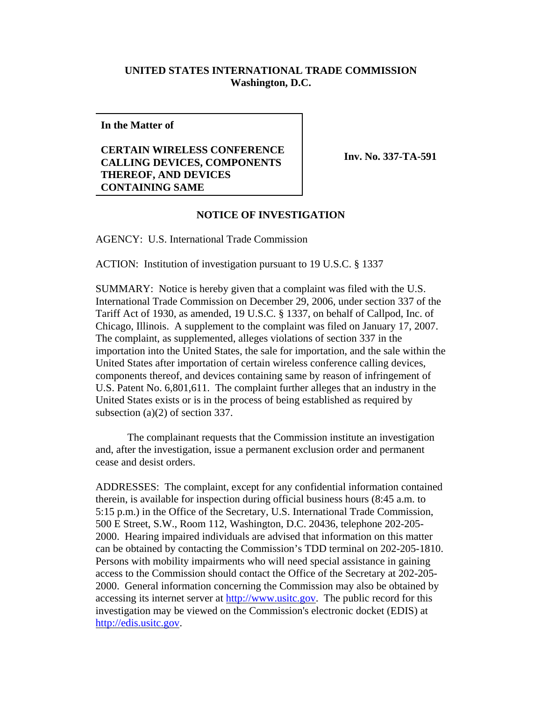## **UNITED STATES INTERNATIONAL TRADE COMMISSION Washington, D.C.**

**In the Matter of**

## **CERTAIN WIRELESS CONFERENCE CALLING DEVICES, COMPONENTS THEREOF, AND DEVICES CONTAINING SAME**

**Inv. No. 337-TA-591**

## **NOTICE OF INVESTIGATION**

AGENCY: U.S. International Trade Commission

ACTION: Institution of investigation pursuant to 19 U.S.C. § 1337

SUMMARY: Notice is hereby given that a complaint was filed with the U.S. International Trade Commission on December 29, 2006, under section 337 of the Tariff Act of 1930, as amended, 19 U.S.C. § 1337, on behalf of Callpod, Inc. of Chicago, Illinois. A supplement to the complaint was filed on January 17, 2007. The complaint, as supplemented, alleges violations of section 337 in the importation into the United States, the sale for importation, and the sale within the United States after importation of certain wireless conference calling devices, components thereof, and devices containing same by reason of infringement of U.S. Patent No. 6,801,611. The complaint further alleges that an industry in the United States exists or is in the process of being established as required by subsection (a)(2) of section 337.

The complainant requests that the Commission institute an investigation and, after the investigation, issue a permanent exclusion order and permanent cease and desist orders.

ADDRESSES: The complaint, except for any confidential information contained therein, is available for inspection during official business hours (8:45 a.m. to 5:15 p.m.) in the Office of the Secretary, U.S. International Trade Commission, 500 E Street, S.W., Room 112, Washington, D.C. 20436, telephone 202-205- 2000. Hearing impaired individuals are advised that information on this matter can be obtained by contacting the Commission's TDD terminal on 202-205-1810. Persons with mobility impairments who will need special assistance in gaining access to the Commission should contact the Office of the Secretary at 202-205- 2000. General information concerning the Commission may also be obtained by accessing its internet server at http://www.usitc.gov. The public record for this investigation may be viewed on the Commission's electronic docket (EDIS) at http://edis.usitc.gov.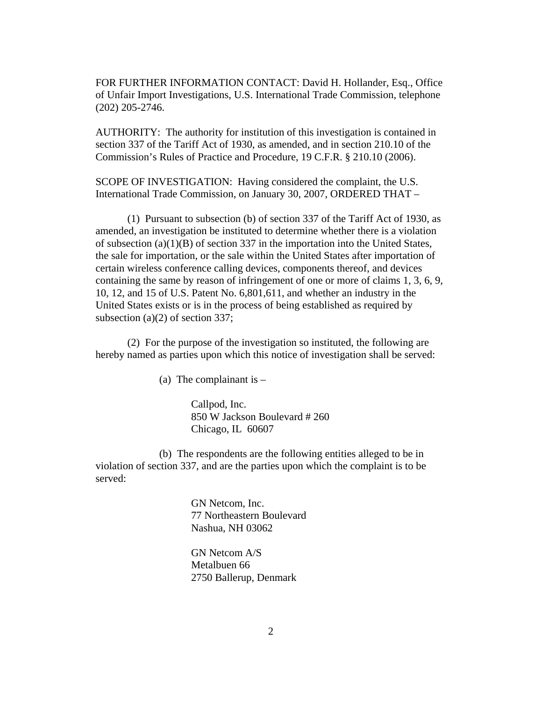FOR FURTHER INFORMATION CONTACT: David H. Hollander, Esq., Office of Unfair Import Investigations, U.S. International Trade Commission, telephone (202) 205-2746.

AUTHORITY: The authority for institution of this investigation is contained in section 337 of the Tariff Act of 1930, as amended, and in section 210.10 of the Commission's Rules of Practice and Procedure, 19 C.F.R. § 210.10 (2006).

SCOPE OF INVESTIGATION: Having considered the complaint, the U.S. International Trade Commission, on January 30, 2007, ORDERED THAT –

(1) Pursuant to subsection (b) of section 337 of the Tariff Act of 1930, as amended, an investigation be instituted to determine whether there is a violation of subsection (a)(1)(B) of section 337 in the importation into the United States, the sale for importation, or the sale within the United States after importation of certain wireless conference calling devices, components thereof, and devices containing the same by reason of infringement of one or more of claims 1, 3, 6, 9, 10, 12, and 15 of U.S. Patent No. 6,801,611, and whether an industry in the United States exists or is in the process of being established as required by subsection (a)(2) of section 337;

(2) For the purpose of the investigation so instituted, the following are hereby named as parties upon which this notice of investigation shall be served:

(a) The complainant is  $-$ 

Callpod, Inc. 850 W Jackson Boulevard # 260 Chicago, IL 60607

(b) The respondents are the following entities alleged to be in violation of section 337, and are the parties upon which the complaint is to be served:

> GN Netcom, Inc. 77 Northeastern Boulevard Nashua, NH 03062

GN Netcom A/S Metalbuen 66 2750 Ballerup, Denmark